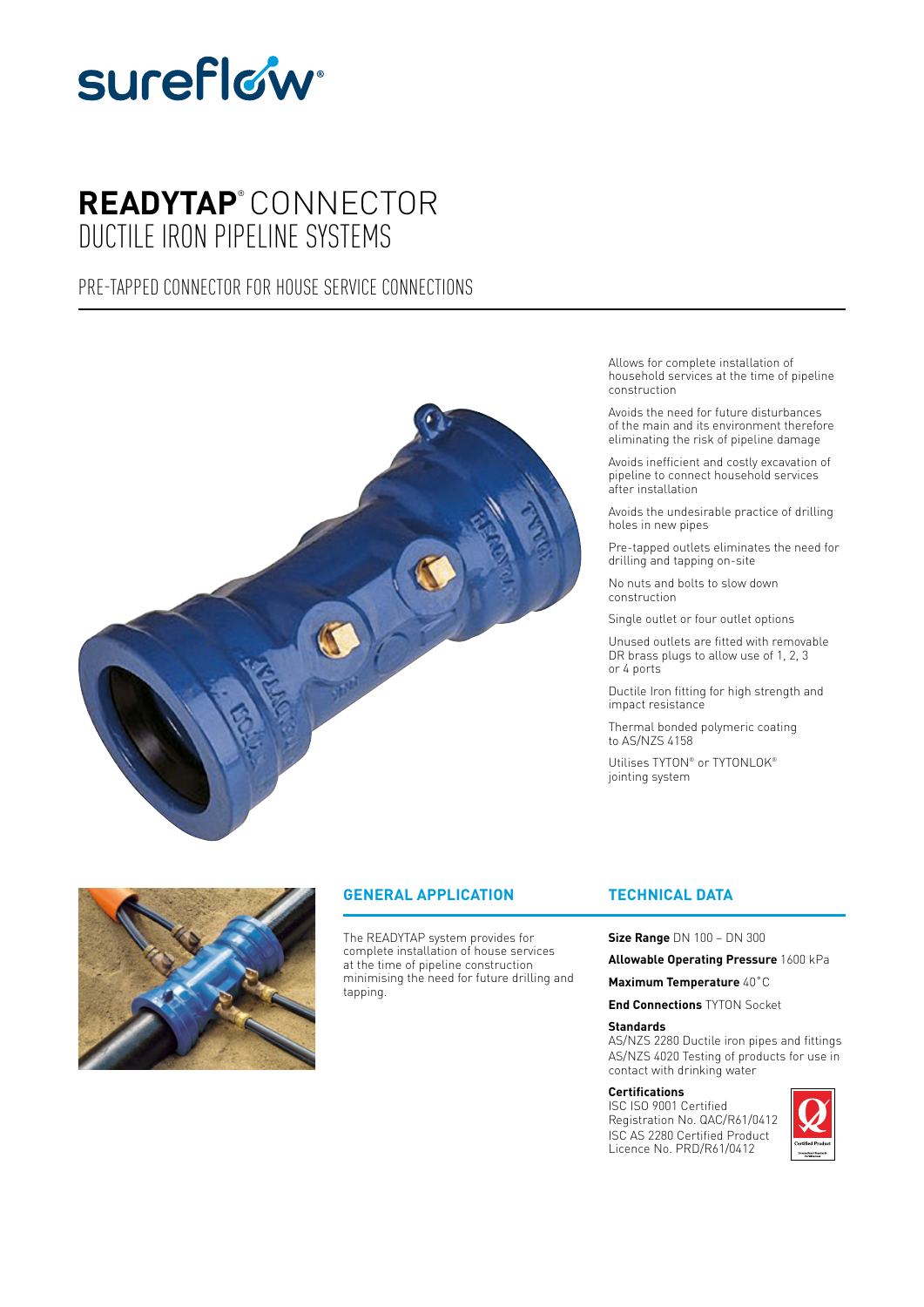

# **READYTAP**® CONNECTOR DUCTILE IRON PIPELINE SYSTEMS

# PRE-TAPPED CONNECTOR FOR HOUSE SERVICE CONNECTIONS





## **GENERAL APPLICATION**

The READYTAP system provides for complete installation of house services at the time of pipeline construction minimising the need for future drilling and tapping.

Allows for complete installation of household services at the time of pipeline construction

Avoids the need for future disturbances of the main and its environment therefore eliminating the risk of pipeline damage

Avoids inefficient and costly excavation of pipeline to connect household services after installation

Avoids the undesirable practice of drilling holes in new pipes

Pre-tapped outlets eliminates the need for drilling and tapping on-site

No nuts and bolts to slow down construction

Single outlet or four outlet options

Unused outlets are fitted with removable DR brass plugs to allow use of 1, 2, 3 or 4 ports

Ductile Iron fitting for high strength and impact resistance

Thermal bonded polymeric coating to AS/NZS 4158

Utilises TYTON® or TYTONLOK® jointing system

## **TECHNICAL DATA**

**Size Range** DN 100 – DN 300

**Allowable Operating Pressure** 1600 kPa

**Maximum Temperature** 40˚C

**End Connections** TYTON Socket

#### **Standards**

AS/NZS 2280 Ductile iron pipes and fittings AS/NZS 4020 Testing of products for use in contact with drinking water

#### **Certifications**

ISC ISO 9001 Certified Registration No. QAC/R61/0412 ISC AS 2280 Certified Product Licence No. PRD/R61/0412